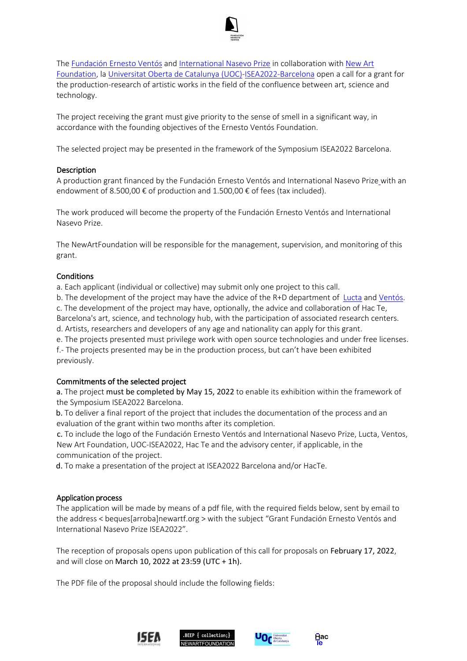

The Fundación Ernesto Ventós and International Nasevo Prize in collaboration with New Art Foundation, la Universitat Oberta de Catalunya (UOC)-ISEA2022-Barcelona open a call for a grant for the production-research of artistic works in the field of the confluence between art, science and technology.

The project receiving the grant must give priority to the sense of smell in a significant way, in accordance with the founding objectives of the Ernesto Ventós Foundation.

The selected project may be presented in the framework of the Symposium ISEA2022 Barcelona.

# Description

A production grant financed by the Fundación Ernesto Ventós and International Nasevo Prize with an endowment of 8.500,00  $\epsilon$  of production and 1.500,00  $\epsilon$  of fees (tax included).

The work produced will become the property of the Fundación Ernesto Ventós and International Nasevo Prize.

The NewArtFoundation will be responsible for the management, supervision, and monitoring of this grant.

### **Conditions**

a. Each applicant (individual or collective) may submit only one project to this call.

b. The development of the project may have the advice of the R+D department of Lucta and Ventós.

c. The development of the project may have, optionally, the advice and collaboration of Hac Te,

Barcelona's art, science, and technology hub, with the participation of associated research centers.

d. Artists, researchers and developers of any age and nationality can apply for this grant.

e. The projects presented must privilege work with open source technologies and under free licenses.

f.- The projects presented may be in the production process, but can't have been exhibited previously.

# Commitments of the selected project

a. The project must be completed by May 15, 2022 to enable its exhibition within the framework of the Symposium ISEA2022 Barcelona.

b. To deliver a final report of the project that includes the documentation of the process and an evaluation of the grant within two months after its completion.

c. To include the logo of the Fundación Ernesto Ventós and International Nasevo Prize, Lucta, Ventos, New Art Foundation, UOC-ISEA2022, Hac Te and the advisory center, if applicable, in the communication of the project.

d. To make a presentation of the project at ISEA2022 Barcelona and/or HacTe.

#### Application process

The application will be made by means of a pdf file, with the required fields below, sent by email to the address < beques[arroba]newartf.org > with the subject "Grant Fundación Ernesto Ventós and International Nasevo Prize ISEA2022".

The reception of proposals opens upon publication of this call for proposals on February 17, 2022, and will close on March 10, 2022 at 23:59 (UTC + 1h).

The PDF file of the proposal should include the following fields: